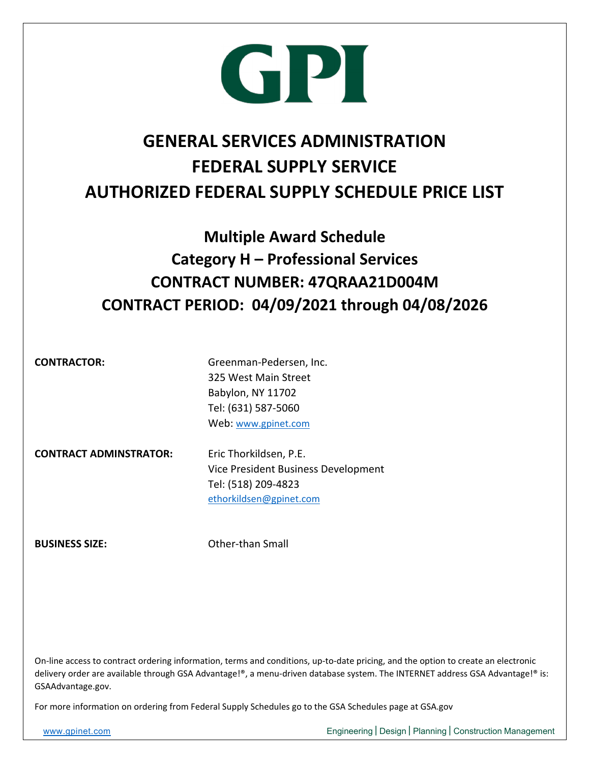

#### **GENERAL SERVICES ADMINISTRATION FEDERAL SUPPLY SERVICE AUTHORIZED FEDERAL SUPPLY SCHEDULE PRICE LIST**

#### **Multiple Award Schedule Category H – Professional Services CONTRACT NUMBER: 47QRAA21D004M CONTRACT PERIOD: 04/09/2021 through 04/08/2026**

**CONTRACTOR:** Greenman-Pedersen, Inc. 325 West Main Street Babylon, NY 11702 Tel: (631) 587‐5060 Web: www.gpinet.com

**CONTRACT ADMINSTRATOR:** Eric Thorkildsen, P.E.

 Vice President Business Development Tel: (518) 209‐4823 ethorkildsen@gpinet.com

**BUSINESS SIZE:**  Other‐than Small

On-line access to contract ordering information, terms and conditions, up-to-date pricing, and the option to create an electronic delivery order are available through GSA Advantage!®, a menu‐driven database system. The INTERNET address GSA Advantage!® is: GSAAdvantage.gov.

For more information on ordering from Federal Supply Schedules go to the GSA Schedules page at GSA.gov

www.gpinet.com entity results and the Engineering | Design | Planning | Construction Management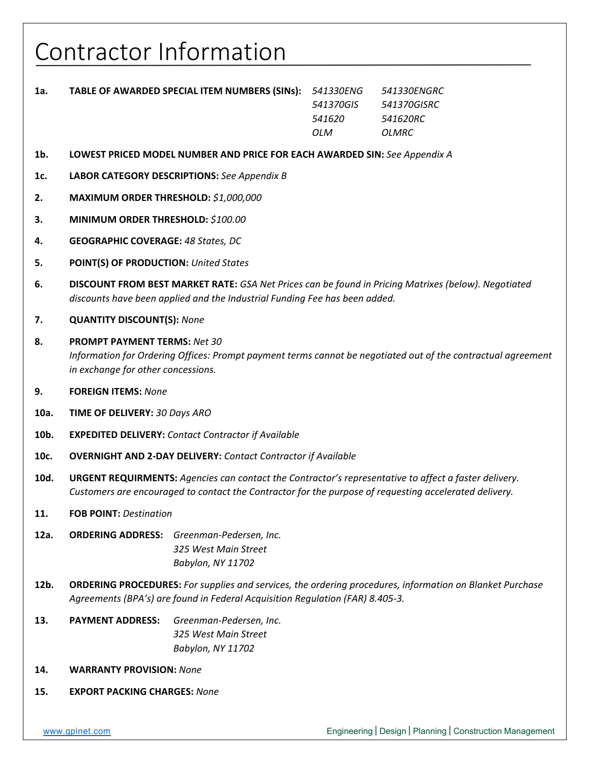#### Contractor Information

| 1a. | <b>TABLE OF AWARDED SPECIAL ITEM NUMBERS (SINS): 541330ENG</b> |           | 541330ENGRC |
|-----|----------------------------------------------------------------|-----------|-------------|
|     |                                                                | 541370GIS | 541370GISRC |
|     |                                                                | 541620    | 541620RC    |
|     |                                                                | OLM.      | OLMRC       |

- **1b. LOWEST PRICED MODEL NUMBER AND PRICE FOR EACH AWARDED SIN:** *See Appendix A*
- **1c. LABOR CATEGORY DESCRIPTIONS:** *See Appendix B*
- **2. MAXIMUM ORDER THRESHOLD:** *\$1,000,000*
- **3. MINIMUM ORDER THRESHOLD:** *\$100.00*
- **4. GEOGRAPHIC COVERAGE:** *48 States, DC*
- **5. POINT(S) OF PRODUCTION:** *United States*
- **6. DISCOUNT FROM BEST MARKET RATE:** *GSA Net Prices can be found in Pricing Matrixes (below). Negotiated discounts have been applied and the Industrial Funding Fee has been added.*
- **7. QUANTITY DISCOUNT(S):** *None*
- **8. PROMPT PAYMENT TERMS:** *Net 30 Information for Ordering Offices: Prompt payment terms cannot be negotiated out of the contractual agreement in exchange for other concessions.*
- **9. FOREIGN ITEMS:** *None*
- **10a. TIME OF DELIVERY:** *30 Days ARO*
- **10b. EXPEDITED DELIVERY:** *Contact Contractor if Available*
- **10c. OVERNIGHT AND 2‐DAY DELIVERY:** *Contact Contractor if Available*
- **10d. URGENT REQUIRMENTS:** *Agencies can contact the Contractor's representative to affect a faster delivery. Customers are encouraged to contact the Contractor for the purpose of requesting accelerated delivery.*
- **11. FOB POINT:** *Destination*
- **12a. ORDERING ADDRESS:** *Greenman‐Pedersen, Inc. 325 West Main Street Babylon, NY 11702*
- **12b. ORDERING PROCEDURES:** *For supplies and services, the ordering procedures, information on Blanket Purchase Agreements (BPA's) are found in Federal Acquisition Regulation (FAR) 8.405‐3.*
- **13. PAYMENT ADDRESS:** *Greenman‐Pedersen, Inc. 325 West Main Street Babylon, NY 11702*
- **14. WARRANTY PROVISION:** *None*
- **15. EXPORT PACKING CHARGES:** *None*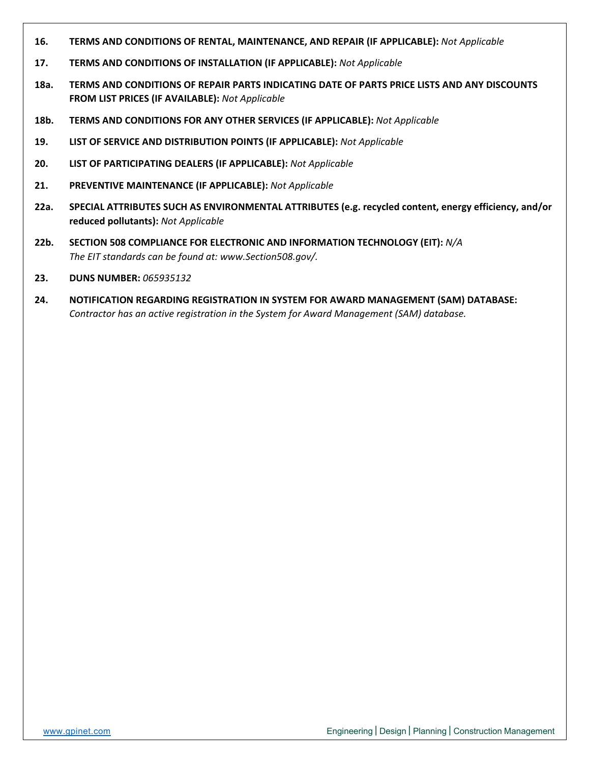- **16. TERMS AND CONDITIONS OF RENTAL, MAINTENANCE, AND REPAIR (IF APPLICABLE):** *Not Applicable*
- **17. TERMS AND CONDITIONS OF INSTALLATION (IF APPLICABLE):** *Not Applicable*
- **18a. TERMS AND CONDITIONS OF REPAIR PARTS INDICATING DATE OF PARTS PRICE LISTS AND ANY DISCOUNTS FROM LIST PRICES (IF AVAILABLE):** *Not Applicable*
- **18b. TERMS AND CONDITIONS FOR ANY OTHER SERVICES (IF APPLICABLE):** *Not Applicable*
- **19. LIST OF SERVICE AND DISTRIBUTION POINTS (IF APPLICABLE):** *Not Applicable*
- **20. LIST OF PARTICIPATING DEALERS (IF APPLICABLE):** *Not Applicable*
- **21. PREVENTIVE MAINTENANCE (IF APPLICABLE):** *Not Applicable*
- **22a. SPECIAL ATTRIBUTES SUCH AS ENVIRONMENTAL ATTRIBUTES (e.g. recycled content, energy efficiency, and/or reduced pollutants):** *Not Applicable*
- **22b. SECTION 508 COMPLIANCE FOR ELECTRONIC AND INFORMATION TECHNOLOGY (EIT):** *N/A The EIT standards can be found at: www.Section508.gov/.*
- **23. DUNS NUMBER:** *065935132*
- **24. NOTIFICATION REGARDING REGISTRATION IN SYSTEM FOR AWARD MANAGEMENT (SAM) DATABASE:** *Contractor has an active registration in the System for Award Management (SAM) database.*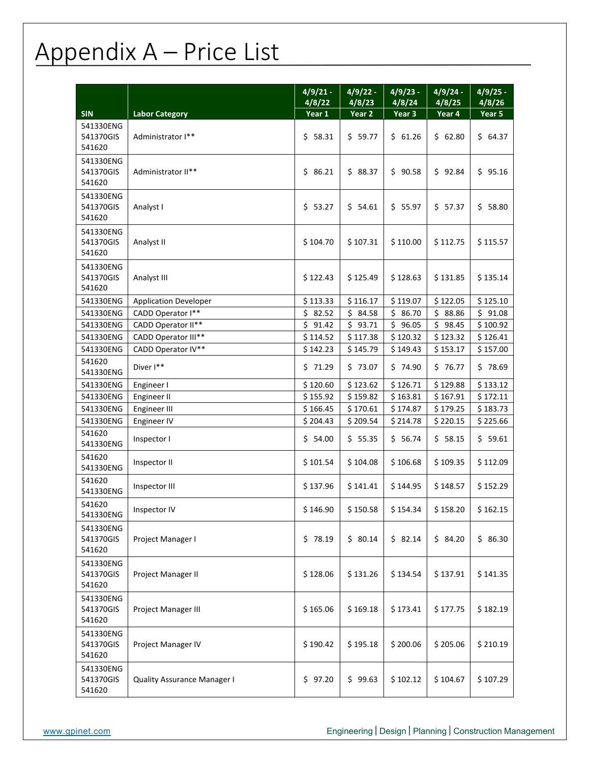### Appendix A – Price List

|                                  |                                    | $4/9/21 -$<br>4/8/22 | $4/9/22 -$<br>4/8/23 | $4/9/23 -$<br>4/8/24 | $4/9/24 -$<br>4/8/25 | $4/9/25 -$<br>4/8/26 |
|----------------------------------|------------------------------------|----------------------|----------------------|----------------------|----------------------|----------------------|
| <b>SIN</b>                       | <b>Labor Category</b>              | Year 1               | Year 2               | Year 3               | Year 4               | Year 5               |
| 541330ENG<br>541370GIS<br>541620 | Administrator I**                  | \$58.31              | \$59.77              | \$61.26              | \$62.80              | \$64.37              |
| 541330ENG<br>541370GIS<br>541620 | Administrator II**                 | \$86.21              | \$88.37              | \$90.58              | \$92.84              | \$95.16              |
| 541330ENG<br>541370GIS<br>541620 | Analyst I                          | \$53.27              | \$54.61              | \$5.97               | \$57.37              | \$58.80              |
| 541330ENG<br>541370GIS<br>541620 | Analyst II                         | \$104.70             | \$107.31             | \$110.00             | \$112.75             | \$115.57             |
| 541330ENG<br>541370GIS<br>541620 | Analyst III                        | \$122.43             | \$125.49             | \$128.63             | \$131.85             | \$135.14             |
| 541330ENG                        | <b>Application Developer</b>       | \$113.33             | \$116.17             | \$119.07             | \$122.05             | \$125.10             |
| 541330ENG                        | CADD Operator I**                  | \$2.52               | \$84.58              | \$86.70              | \$88.86              | \$91.08              |
| 541330ENG                        | CADD Operator II**                 | \$<br>91.42          | \$<br>93.71          | \$<br>96.05          | \$<br>98.45          | \$100.92             |
| 541330ENG                        | CADD Operator III**                | \$114.52             | \$117.38             | \$120.32             | \$123.32             | \$126.41             |
| 541330ENG                        | CADD Operator IV**                 | \$142.23             | \$145.79             | \$149.43             | \$153.17             | \$157.00             |
| 541620<br>541330ENG              | Diver I**                          | \$71.29              | \$73.07              | \$74.90              | \$76.77              | \$78.69              |
| 541330ENG                        | Engineer I                         | \$120.60             | \$123.62             | \$126.71             | \$129.88             | \$133.12             |
| 541330ENG                        | Engineer II                        | \$155.92             | \$159.82             | \$163.81             | \$167.91             | \$172.11             |
| 541330ENG                        | Engineer III                       | \$166.45             | \$170.61             | \$174.87             | \$179.25             | \$183.73             |
| 541330ENG                        | Engineer IV                        | \$204.43             | \$209.54             | \$214.78             | \$220.15             | \$225.66             |
| 541620<br>541330ENG              | Inspector I                        | \$54.00              | \$55.35              | \$56.74              | \$58.15              | \$59.61              |
| 541620<br>541330ENG              | Inspector II                       | \$101.54             | \$104.08             | \$106.68             | \$109.35             | \$112.09             |
| 541620<br>541330ENG              | Inspector III                      | \$137.96             | \$141.41             | \$144.95             | \$148.57             | \$152.29             |
| 541620<br>541330ENG              | Inspector IV                       | \$146.90             | \$150.58             | \$154.34             | \$158.20             | \$162.15             |
| 541330ENG<br>541370GIS<br>541620 | Project Manager I                  | \$78.19              | \$80.14              | \$82.14              | \$84.20              | \$86.30              |
| 541330ENG<br>541370GIS<br>541620 | <b>Project Manager II</b>          | \$128.06             | \$131.26             | \$134.54             | \$137.91             | \$141.35             |
| 541330ENG<br>541370GIS<br>541620 | Project Manager III                | \$165.06             | \$169.18             | \$173.41             | \$177.75             | \$182.19             |
| 541330ENG<br>541370GIS<br>541620 | Project Manager IV                 | \$190.42             | \$195.18             | \$200.06             | \$205.06             | \$210.19             |
| 541330ENG<br>541370GIS<br>541620 | <b>Quality Assurance Manager I</b> | \$97.20              | \$99.63              | \$102.12             | \$104.67             | \$107.29             |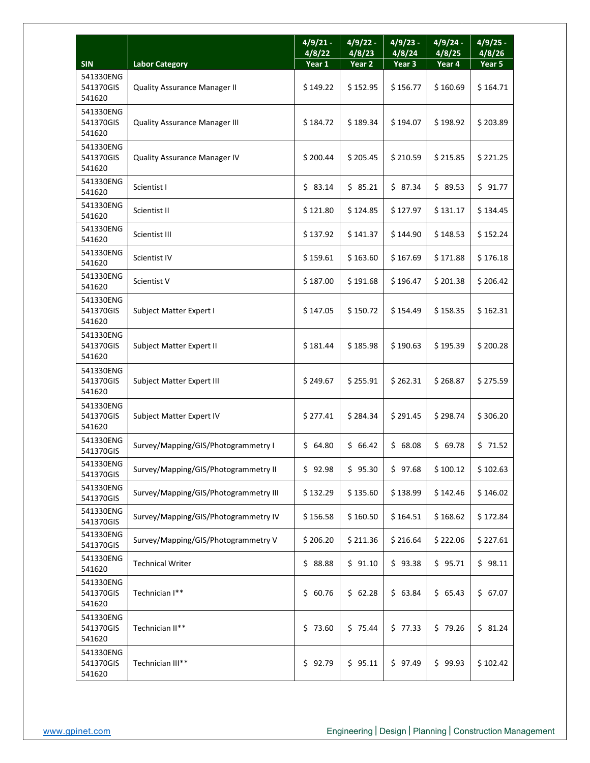|                                  |                                       | $4/9/21 -$<br>4/8/22 | $4/9/22 -$<br>4/8/23 | $4/9/23 -$<br>4/8/24 | $4/9/24 -$<br>4/8/25 | $4/9/25 -$<br>4/8/26 |
|----------------------------------|---------------------------------------|----------------------|----------------------|----------------------|----------------------|----------------------|
| <b>SIN</b>                       | <b>Labor Category</b>                 | Year 1               | Year 2               | Year 3               | Year 4               | Year 5               |
| 541330ENG<br>541370GIS<br>541620 | <b>Quality Assurance Manager II</b>   | \$149.22             | \$152.95             | \$156.77             | \$160.69             | \$164.71             |
| 541330ENG<br>541370GIS<br>541620 | <b>Quality Assurance Manager III</b>  | \$184.72             | \$189.34             | \$194.07             | \$198.92             | \$203.89             |
| 541330ENG<br>541370GIS<br>541620 | <b>Quality Assurance Manager IV</b>   | \$200.44             | \$205.45             | \$210.59             | \$215.85             | \$221.25             |
| 541330ENG<br>541620              | Scientist I                           | \$83.14              | \$85.21              | \$87.34              | \$89.53              | \$91.77              |
| 541330ENG<br>541620              | Scientist II                          | \$121.80             | \$124.85             | \$127.97             | \$131.17             | \$134.45             |
| 541330ENG<br>541620              | Scientist III                         | \$137.92             | \$141.37             | \$144.90             | \$148.53             | \$152.24             |
| 541330ENG<br>541620              | Scientist IV                          | \$159.61             | \$163.60             | \$167.69             | \$171.88             | \$176.18             |
| 541330ENG<br>541620              | Scientist V                           | \$187.00             | \$191.68             | \$196.47             | \$201.38             | \$206.42             |
| 541330ENG<br>541370GIS<br>541620 | Subject Matter Expert I               | \$147.05             | \$150.72             | \$154.49             | \$158.35             | \$162.31             |
| 541330ENG<br>541370GIS<br>541620 | Subject Matter Expert II              | \$181.44             | \$185.98             | \$190.63             | \$195.39             | \$200.28             |
| 541330ENG<br>541370GIS<br>541620 | Subject Matter Expert III             | \$249.67             | \$255.91             | \$262.31             | \$268.87             | \$275.59             |
| 541330ENG<br>541370GIS<br>541620 | Subject Matter Expert IV              | \$277.41             | \$284.34             | \$291.45             | \$298.74             | \$306.20             |
| 541330ENG<br>541370GIS           | Survey/Mapping/GIS/Photogrammetry I   | \$64.80              | \$66.42              | \$68.08              | \$69.78              | \$71.52              |
| 541330ENG<br>541370GIS           | Survey/Mapping/GIS/Photogrammetry II  | \$92.98              | \$95.30              | \$97.68              | \$100.12             | \$102.63             |
| 541330ENG<br>541370GIS           | Survey/Mapping/GIS/Photogrammetry III | \$132.29             | \$135.60             | \$138.99             | \$142.46             | \$146.02             |
| 541330ENG<br>541370GIS           | Survey/Mapping/GIS/Photogrammetry IV  | \$156.58             | \$160.50             | \$164.51             | \$168.62             | \$172.84             |
| 541330ENG<br>541370GIS           | Survey/Mapping/GIS/Photogrammetry V   | \$206.20             | \$211.36             | \$216.64             | \$222.06             | \$227.61             |
| 541330ENG<br>541620              | <b>Technical Writer</b>               | \$88.88              | \$91.10              | \$93.38              | \$95.71              | \$98.11              |
| 541330ENG<br>541370GIS<br>541620 | Technician I**                        | \$60.76              | \$62.28              | \$63.84              | \$65.43              | \$67.07              |
| 541330ENG<br>541370GIS<br>541620 | Technician II**                       | \$73.60              | \$75.44              | \$77.33              | \$79.26              | \$31.24              |
| 541330ENG<br>541370GIS<br>541620 | Technician III**                      | \$92.79              | \$95.11              | \$97.49              | \$99.93              | \$102.42             |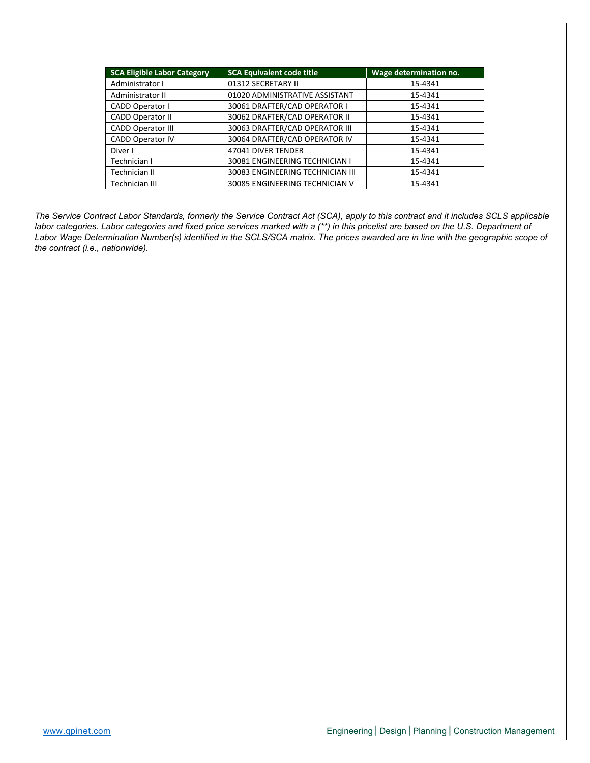| <b>SCA Eligible Labor Category</b> | <b>SCA Equivalent code title</b> | Wage determination no. |  |  |  |
|------------------------------------|----------------------------------|------------------------|--|--|--|
| Administrator I                    | 01312 SECRETARY II               | 15-4341                |  |  |  |
| Administrator II                   | 01020 ADMINISTRATIVE ASSISTANT   | 15-4341                |  |  |  |
| <b>CADD Operator I</b>             | 30061 DRAFTER/CAD OPERATOR I     | 15-4341                |  |  |  |
| <b>CADD Operator II</b>            | 30062 DRAFTER/CAD OPERATOR II    | 15-4341                |  |  |  |
| <b>CADD Operator III</b>           | 30063 DRAFTER/CAD OPERATOR III   | 15-4341                |  |  |  |
| <b>CADD Operator IV</b>            | 30064 DRAFTER/CAD OPERATOR IV    | 15-4341                |  |  |  |
| Diver I                            | 47041 DIVER TENDER               | 15-4341                |  |  |  |
| Technician I                       | 30081 ENGINEERING TECHNICIAN I   | 15-4341                |  |  |  |
| Technician II                      | 30083 ENGINEERING TECHNICIAN III | 15-4341                |  |  |  |
| Technician III                     | 30085 ENGINEERING TECHNICIAN V   | 15-4341                |  |  |  |

*The Service Contract Labor Standards, formerly the Service Contract Act (SCA), apply to this contract and it includes SCLS applicable labor categories. Labor categories and fixed price services marked with a (\*\*) in this pricelist are based on the U.S. Department of Labor Wage Determination Number(s) identified in the SCLS/SCA matrix. The prices awarded are in line with the geographic scope of the contract (i.e., nationwide).*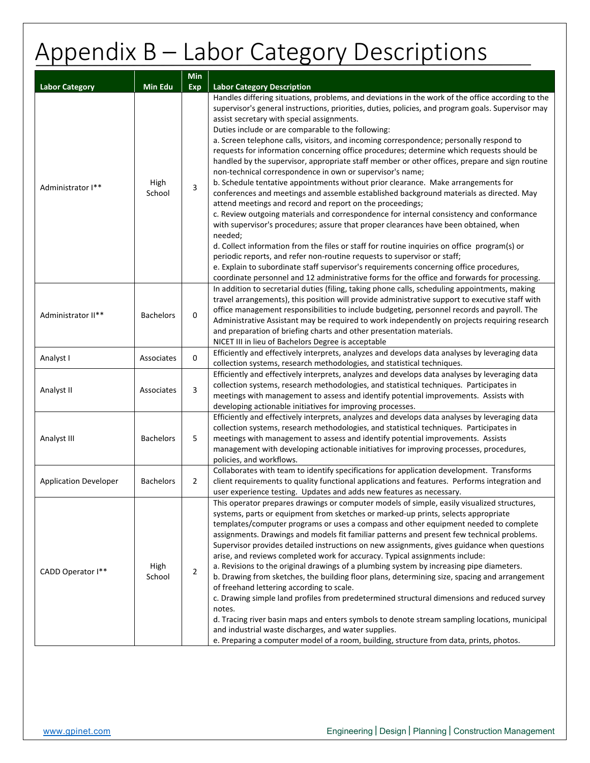# Appendix B – Labor Category Descriptions

| Min                          |                  |                |                                                                                                                                                                                                                                                                                                                                                                                                                                                                                                                                                                                                                                                                                                                                                                                                                                                                                                                                                                                                                                                                                                                                                                                                                                                                                                                                                                                       |  |  |  |  |
|------------------------------|------------------|----------------|---------------------------------------------------------------------------------------------------------------------------------------------------------------------------------------------------------------------------------------------------------------------------------------------------------------------------------------------------------------------------------------------------------------------------------------------------------------------------------------------------------------------------------------------------------------------------------------------------------------------------------------------------------------------------------------------------------------------------------------------------------------------------------------------------------------------------------------------------------------------------------------------------------------------------------------------------------------------------------------------------------------------------------------------------------------------------------------------------------------------------------------------------------------------------------------------------------------------------------------------------------------------------------------------------------------------------------------------------------------------------------------|--|--|--|--|
| <b>Labor Category</b>        | Min Edu          | Exp            | <b>Labor Category Description</b>                                                                                                                                                                                                                                                                                                                                                                                                                                                                                                                                                                                                                                                                                                                                                                                                                                                                                                                                                                                                                                                                                                                                                                                                                                                                                                                                                     |  |  |  |  |
| Administrator I**            | High<br>School   | 3              | Handles differing situations, problems, and deviations in the work of the office according to the<br>supervisor's general instructions, priorities, duties, policies, and program goals. Supervisor may<br>assist secretary with special assignments.<br>Duties include or are comparable to the following:<br>a. Screen telephone calls, visitors, and incoming correspondence; personally respond to<br>requests for information concerning office procedures; determine which requests should be<br>handled by the supervisor, appropriate staff member or other offices, prepare and sign routine<br>non-technical correspondence in own or supervisor's name;<br>b. Schedule tentative appointments without prior clearance. Make arrangements for<br>conferences and meetings and assemble established background materials as directed. May<br>attend meetings and record and report on the proceedings;<br>c. Review outgoing materials and correspondence for internal consistency and conformance<br>with supervisor's procedures; assure that proper clearances have been obtained, when<br>needed;<br>d. Collect information from the files or staff for routine inquiries on office program(s) or<br>periodic reports, and refer non-routine requests to supervisor or staff;<br>e. Explain to subordinate staff supervisor's requirements concerning office procedures, |  |  |  |  |
| Administrator II**           | <b>Bachelors</b> | 0              | coordinate personnel and 12 administrative forms for the office and forwards for processing.<br>In addition to secretarial duties (filing, taking phone calls, scheduling appointments, making<br>travel arrangements), this position will provide administrative support to executive staff with<br>office management responsibilities to include budgeting, personnel records and payroll. The<br>Administrative Assistant may be required to work independently on projects requiring research<br>and preparation of briefing charts and other presentation materials.<br>NICET III in lieu of Bachelors Degree is acceptable                                                                                                                                                                                                                                                                                                                                                                                                                                                                                                                                                                                                                                                                                                                                                      |  |  |  |  |
| Analyst I                    | Associates       | 0              | Efficiently and effectively interprets, analyzes and develops data analyses by leveraging data<br>collection systems, research methodologies, and statistical techniques.                                                                                                                                                                                                                                                                                                                                                                                                                                                                                                                                                                                                                                                                                                                                                                                                                                                                                                                                                                                                                                                                                                                                                                                                             |  |  |  |  |
| Analyst II<br>Associates     |                  | 3              | Efficiently and effectively interprets, analyzes and develops data analyses by leveraging data<br>collection systems, research methodologies, and statistical techniques. Participates in<br>meetings with management to assess and identify potential improvements. Assists with<br>developing actionable initiatives for improving processes.                                                                                                                                                                                                                                                                                                                                                                                                                                                                                                                                                                                                                                                                                                                                                                                                                                                                                                                                                                                                                                       |  |  |  |  |
| Analyst III                  | <b>Bachelors</b> | 5              | Efficiently and effectively interprets, analyzes and develops data analyses by leveraging data<br>collection systems, research methodologies, and statistical techniques. Participates in<br>meetings with management to assess and identify potential improvements. Assists<br>management with developing actionable initiatives for improving processes, procedures,<br>policies, and workflows.                                                                                                                                                                                                                                                                                                                                                                                                                                                                                                                                                                                                                                                                                                                                                                                                                                                                                                                                                                                    |  |  |  |  |
| <b>Application Developer</b> | <b>Bachelors</b> | 2              | Collaborates with team to identify specifications for application development. Transforms<br>client requirements to quality functional applications and features. Performs integration and<br>user experience testing. Updates and adds new features as necessary.                                                                                                                                                                                                                                                                                                                                                                                                                                                                                                                                                                                                                                                                                                                                                                                                                                                                                                                                                                                                                                                                                                                    |  |  |  |  |
| CADD Operator I**            | High<br>School   | $\overline{2}$ | This operator prepares drawings or computer models of simple, easily visualized structures,<br>systems, parts or equipment from sketches or marked-up prints, selects appropriate<br>templates/computer programs or uses a compass and other equipment needed to complete<br>assignments. Drawings and models fit familiar patterns and present few technical problems.<br>Supervisor provides detailed instructions on new assignments, gives guidance when questions<br>arise, and reviews completed work for accuracy. Typical assignments include:<br>a. Revisions to the original drawings of a plumbing system by increasing pipe diameters.<br>b. Drawing from sketches, the building floor plans, determining size, spacing and arrangement<br>of freehand lettering according to scale.<br>c. Drawing simple land profiles from predetermined structural dimensions and reduced survey<br>notes.<br>d. Tracing river basin maps and enters symbols to denote stream sampling locations, municipal<br>and industrial waste discharges, and water supplies.<br>e. Preparing a computer model of a room, building, structure from data, prints, photos.                                                                                                                                                                                                                         |  |  |  |  |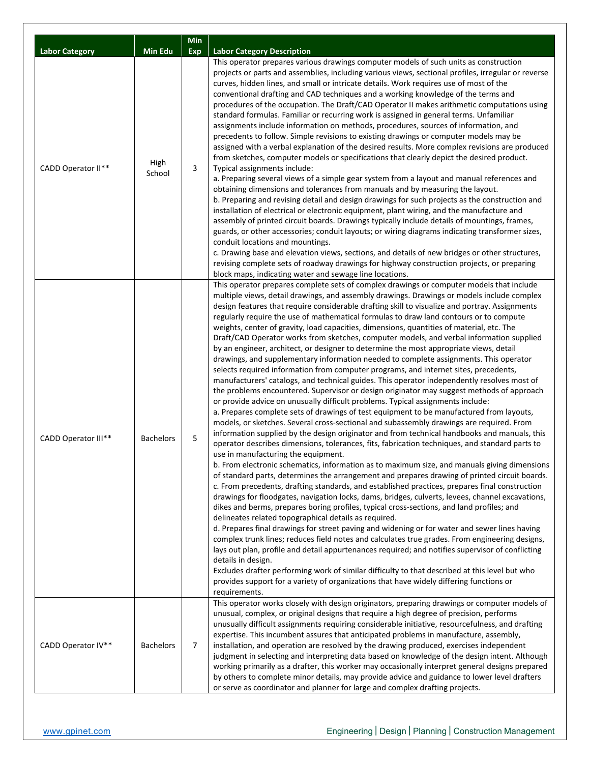|                       |                  | Min            |                                                                                                                                                                                                                                                                                                                                                                                                                                                                                                                                                                                                                                                                                                                                                                                                                                                                                                                                                                                                                                                                                                                                                                                                                                                                                                                                                                                                                                                                                                                                                                                                                                                                                                                                                                                                                                                                                                                                                                                                                                                                                                                                                                                                                                                                                                                                                                                                                                                                                                                                                                                                                                                                                |
|-----------------------|------------------|----------------|--------------------------------------------------------------------------------------------------------------------------------------------------------------------------------------------------------------------------------------------------------------------------------------------------------------------------------------------------------------------------------------------------------------------------------------------------------------------------------------------------------------------------------------------------------------------------------------------------------------------------------------------------------------------------------------------------------------------------------------------------------------------------------------------------------------------------------------------------------------------------------------------------------------------------------------------------------------------------------------------------------------------------------------------------------------------------------------------------------------------------------------------------------------------------------------------------------------------------------------------------------------------------------------------------------------------------------------------------------------------------------------------------------------------------------------------------------------------------------------------------------------------------------------------------------------------------------------------------------------------------------------------------------------------------------------------------------------------------------------------------------------------------------------------------------------------------------------------------------------------------------------------------------------------------------------------------------------------------------------------------------------------------------------------------------------------------------------------------------------------------------------------------------------------------------------------------------------------------------------------------------------------------------------------------------------------------------------------------------------------------------------------------------------------------------------------------------------------------------------------------------------------------------------------------------------------------------------------------------------------------------------------------------------------------------|
| <b>Labor Category</b> | Min Edu          | Exp            | <b>Labor Category Description</b>                                                                                                                                                                                                                                                                                                                                                                                                                                                                                                                                                                                                                                                                                                                                                                                                                                                                                                                                                                                                                                                                                                                                                                                                                                                                                                                                                                                                                                                                                                                                                                                                                                                                                                                                                                                                                                                                                                                                                                                                                                                                                                                                                                                                                                                                                                                                                                                                                                                                                                                                                                                                                                              |
| CADD Operator II**    | High<br>School   | 3              | This operator prepares various drawings computer models of such units as construction<br>projects or parts and assemblies, including various views, sectional profiles, irregular or reverse<br>curves, hidden lines, and small or intricate details. Work requires use of most of the<br>conventional drafting and CAD techniques and a working knowledge of the terms and<br>procedures of the occupation. The Draft/CAD Operator II makes arithmetic computations using<br>standard formulas. Familiar or recurring work is assigned in general terms. Unfamiliar<br>assignments include information on methods, procedures, sources of information, and<br>precedents to follow. Simple revisions to existing drawings or computer models may be<br>assigned with a verbal explanation of the desired results. More complex revisions are produced<br>from sketches, computer models or specifications that clearly depict the desired product.<br>Typical assignments include:<br>a. Preparing several views of a simple gear system from a layout and manual references and<br>obtaining dimensions and tolerances from manuals and by measuring the layout.<br>b. Preparing and revising detail and design drawings for such projects as the construction and<br>installation of electrical or electronic equipment, plant wiring, and the manufacture and<br>assembly of printed circuit boards. Drawings typically include details of mountings, frames,<br>guards, or other accessories; conduit layouts; or wiring diagrams indicating transformer sizes,<br>conduit locations and mountings.<br>c. Drawing base and elevation views, sections, and details of new bridges or other structures,<br>revising complete sets of roadway drawings for highway construction projects, or preparing<br>block maps, indicating water and sewage line locations.                                                                                                                                                                                                                                                                                                                                                                                                                                                                                                                                                                                                                                                                                                                                                                                                            |
| CADD Operator III**   | <b>Bachelors</b> | 5              | This operator prepares complete sets of complex drawings or computer models that include<br>multiple views, detail drawings, and assembly drawings. Drawings or models include complex<br>design features that require considerable drafting skill to visualize and portray. Assignments<br>regularly require the use of mathematical formulas to draw land contours or to compute<br>weights, center of gravity, load capacities, dimensions, quantities of material, etc. The<br>Draft/CAD Operator works from sketches, computer models, and verbal information supplied<br>by an engineer, architect, or designer to determine the most appropriate views, detail<br>drawings, and supplementary information needed to complete assignments. This operator<br>selects required information from computer programs, and internet sites, precedents,<br>manufacturers' catalogs, and technical guides. This operator independently resolves most of<br>the problems encountered. Supervisor or design originator may suggest methods of approach<br>or provide advice on unusually difficult problems. Typical assignments include:<br>a. Prepares complete sets of drawings of test equipment to be manufactured from layouts,<br>models, or sketches. Several cross-sectional and subassembly drawings are required. From<br>information supplied by the design originator and from technical handbooks and manuals, this<br>operator describes dimensions, tolerances, fits, fabrication techniques, and standard parts to<br>use in manufacturing the equipment.<br>b. From electronic schematics, information as to maximum size, and manuals giving dimensions<br>of standard parts, determines the arrangement and prepares drawing of printed circuit boards.<br>c. From precedents, drafting standards, and established practices, prepares final construction<br>drawings for floodgates, navigation locks, dams, bridges, culverts, levees, channel excavations,<br>dikes and berms, prepares boring profiles, typical cross-sections, and land profiles; and<br>delineates related topographical details as required.<br>d. Prepares final drawings for street paving and widening or for water and sewer lines having<br>complex trunk lines; reduces field notes and calculates true grades. From engineering designs,<br>lays out plan, profile and detail appurtenances required; and notifies supervisor of conflicting<br>details in design.<br>Excludes drafter performing work of similar difficulty to that described at this level but who<br>provides support for a variety of organizations that have widely differing functions or<br>requirements. |
| CADD Operator IV**    | <b>Bachelors</b> | $\overline{7}$ | This operator works closely with design originators, preparing drawings or computer models of<br>unusual, complex, or original designs that require a high degree of precision, performs<br>unusually difficult assignments requiring considerable initiative, resourcefulness, and drafting<br>expertise. This incumbent assures that anticipated problems in manufacture, assembly,<br>installation, and operation are resolved by the drawing produced, exercises independent<br>judgment in selecting and interpreting data based on knowledge of the design intent. Although<br>working primarily as a drafter, this worker may occasionally interpret general designs prepared<br>by others to complete minor details, may provide advice and guidance to lower level drafters<br>or serve as coordinator and planner for large and complex drafting projects.                                                                                                                                                                                                                                                                                                                                                                                                                                                                                                                                                                                                                                                                                                                                                                                                                                                                                                                                                                                                                                                                                                                                                                                                                                                                                                                                                                                                                                                                                                                                                                                                                                                                                                                                                                                                           |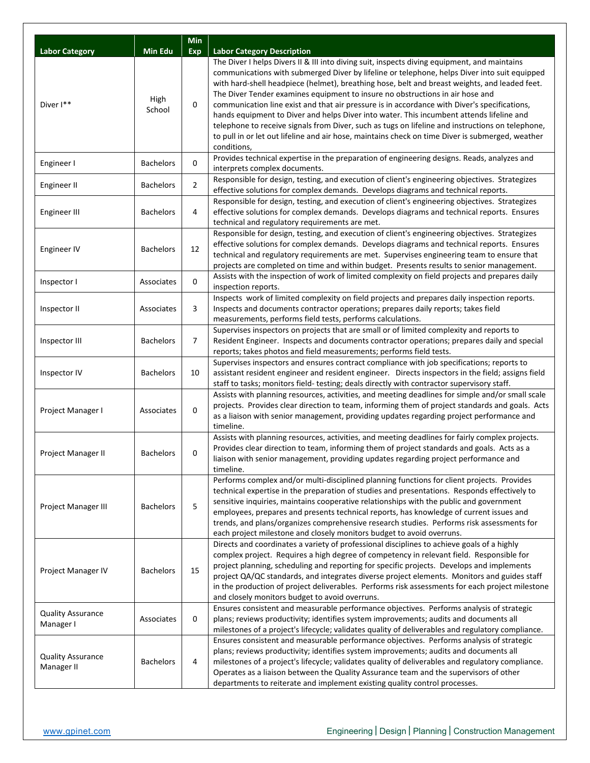|                                        |                  | <b>Min</b>     |                                                                                                                                                                                                                                                                                                                                                                                                                                                                                                                                                                                                                                                                                                                                                                                                   |
|----------------------------------------|------------------|----------------|---------------------------------------------------------------------------------------------------------------------------------------------------------------------------------------------------------------------------------------------------------------------------------------------------------------------------------------------------------------------------------------------------------------------------------------------------------------------------------------------------------------------------------------------------------------------------------------------------------------------------------------------------------------------------------------------------------------------------------------------------------------------------------------------------|
| <b>Labor Category</b>                  | Min Edu          | Exp            | <b>Labor Category Description</b>                                                                                                                                                                                                                                                                                                                                                                                                                                                                                                                                                                                                                                                                                                                                                                 |
| Diver <sup>1**</sup>                   | High<br>School   | 0              | The Diver I helps Divers II & III into diving suit, inspects diving equipment, and maintains<br>communications with submerged Diver by lifeline or telephone, helps Diver into suit equipped<br>with hard-shell headpiece (helmet), breathing hose, belt and breast weights, and leaded feet.<br>The Diver Tender examines equipment to insure no obstructions in air hose and<br>communication line exist and that air pressure is in accordance with Diver's specifications,<br>hands equipment to Diver and helps Diver into water. This incumbent attends lifeline and<br>telephone to receive signals from Diver, such as tugs on lifeline and instructions on telephone,<br>to pull in or let out lifeline and air hose, maintains check on time Diver is submerged, weather<br>conditions, |
| Engineer I                             | <b>Bachelors</b> | 0              | Provides technical expertise in the preparation of engineering designs. Reads, analyzes and<br>interprets complex documents.                                                                                                                                                                                                                                                                                                                                                                                                                                                                                                                                                                                                                                                                      |
| Engineer II                            | <b>Bachelors</b> | $\overline{2}$ | Responsible for design, testing, and execution of client's engineering objectives. Strategizes<br>effective solutions for complex demands. Develops diagrams and technical reports.                                                                                                                                                                                                                                                                                                                                                                                                                                                                                                                                                                                                               |
| <b>Engineer III</b>                    | <b>Bachelors</b> | 4              | Responsible for design, testing, and execution of client's engineering objectives. Strategizes<br>effective solutions for complex demands. Develops diagrams and technical reports. Ensures<br>technical and regulatory requirements are met.                                                                                                                                                                                                                                                                                                                                                                                                                                                                                                                                                     |
| Engineer IV                            | <b>Bachelors</b> | 12             | Responsible for design, testing, and execution of client's engineering objectives. Strategizes<br>effective solutions for complex demands. Develops diagrams and technical reports. Ensures<br>technical and regulatory requirements are met. Supervises engineering team to ensure that<br>projects are completed on time and within budget. Presents results to senior management.                                                                                                                                                                                                                                                                                                                                                                                                              |
| Inspector I                            | Associates       | 0              | Assists with the inspection of work of limited complexity on field projects and prepares daily<br>inspection reports.                                                                                                                                                                                                                                                                                                                                                                                                                                                                                                                                                                                                                                                                             |
| Inspector II                           | Associates       | 3              | Inspects work of limited complexity on field projects and prepares daily inspection reports.<br>Inspects and documents contractor operations; prepares daily reports; takes field<br>measurements, performs field tests, performs calculations.                                                                                                                                                                                                                                                                                                                                                                                                                                                                                                                                                   |
| Inspector III                          | <b>Bachelors</b> | $\overline{7}$ | Supervises inspectors on projects that are small or of limited complexity and reports to<br>Resident Engineer. Inspects and documents contractor operations; prepares daily and special<br>reports; takes photos and field measurements; performs field tests.                                                                                                                                                                                                                                                                                                                                                                                                                                                                                                                                    |
| Inspector IV                           | <b>Bachelors</b> | 10             | Supervises inspectors and ensures contract compliance with job specifications; reports to<br>assistant resident engineer and resident engineer. Directs inspectors in the field; assigns field<br>staff to tasks; monitors field- testing; deals directly with contractor supervisory staff.                                                                                                                                                                                                                                                                                                                                                                                                                                                                                                      |
| Project Manager I                      | Associates       | 0              | Assists with planning resources, activities, and meeting deadlines for simple and/or small scale<br>projects. Provides clear direction to team, informing them of project standards and goals. Acts<br>as a liaison with senior management, providing updates regarding project performance and<br>timeline.                                                                                                                                                                                                                                                                                                                                                                                                                                                                                      |
| Project Manager II                     | <b>Bachelors</b> | 0              | Assists with planning resources, activities, and meeting deadlines for fairly complex projects.<br>Provides clear direction to team, informing them of project standards and goals. Acts as a<br>liaison with senior management, providing updates regarding project performance and<br>timeline.                                                                                                                                                                                                                                                                                                                                                                                                                                                                                                 |
| Project Manager III                    | <b>Bachelors</b> | 5              | Performs complex and/or multi-disciplined planning functions for client projects. Provides<br>technical expertise in the preparation of studies and presentations. Responds effectively to<br>sensitive inquiries, maintains cooperative relationships with the public and government<br>employees, prepares and presents technical reports, has knowledge of current issues and<br>trends, and plans/organizes comprehensive research studies. Performs risk assessments for<br>each project milestone and closely monitors budget to avoid overruns.                                                                                                                                                                                                                                            |
| Project Manager IV                     | <b>Bachelors</b> | 15             | Directs and coordinates a variety of professional disciplines to achieve goals of a highly<br>complex project. Requires a high degree of competency in relevant field. Responsible for<br>project planning, scheduling and reporting for specific projects. Develops and implements<br>project QA/QC standards, and integrates diverse project elements. Monitors and guides staff<br>in the production of project deliverables. Performs risk assessments for each project milestone<br>and closely monitors budget to avoid overruns.                                                                                                                                                                                                                                                           |
| <b>Quality Assurance</b><br>Manager I  | Associates       | 0              | Ensures consistent and measurable performance objectives. Performs analysis of strategic<br>plans; reviews productivity; identifies system improvements; audits and documents all<br>milestones of a project's lifecycle; validates quality of deliverables and regulatory compliance.                                                                                                                                                                                                                                                                                                                                                                                                                                                                                                            |
| <b>Quality Assurance</b><br>Manager II | <b>Bachelors</b> | 4              | Ensures consistent and measurable performance objectives. Performs analysis of strategic<br>plans; reviews productivity; identifies system improvements; audits and documents all<br>milestones of a project's lifecycle; validates quality of deliverables and regulatory compliance.<br>Operates as a liaison between the Quality Assurance team and the supervisors of other<br>departments to reiterate and implement existing quality control processes.                                                                                                                                                                                                                                                                                                                                     |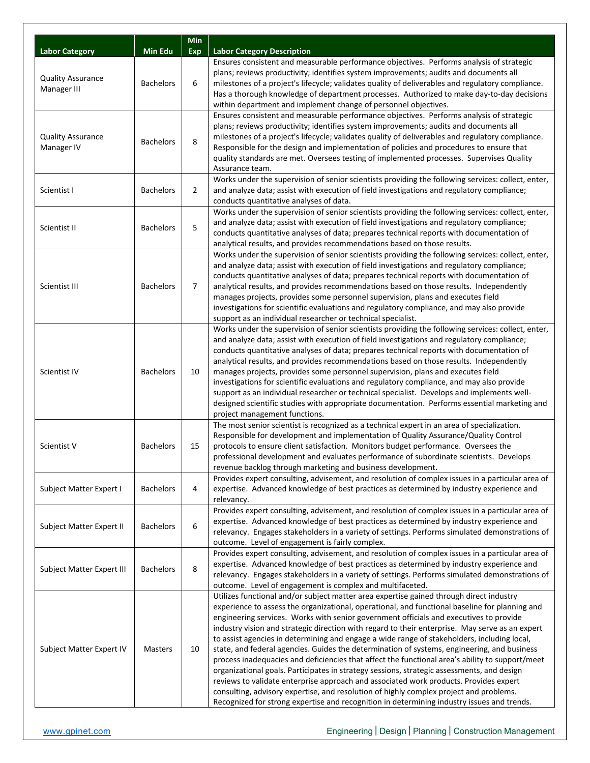|                                         |                  | <b>Min</b>     |                                                                                                                                                                                                                                                                                                                                                                                                                                                                                                                                                                                                                                                                                                                                                                                                                                                                                                                                                                                                                                                                        |
|-----------------------------------------|------------------|----------------|------------------------------------------------------------------------------------------------------------------------------------------------------------------------------------------------------------------------------------------------------------------------------------------------------------------------------------------------------------------------------------------------------------------------------------------------------------------------------------------------------------------------------------------------------------------------------------------------------------------------------------------------------------------------------------------------------------------------------------------------------------------------------------------------------------------------------------------------------------------------------------------------------------------------------------------------------------------------------------------------------------------------------------------------------------------------|
| <b>Labor Category</b>                   | <b>Min Edu</b>   | <b>Exp</b>     | <b>Labor Category Description</b>                                                                                                                                                                                                                                                                                                                                                                                                                                                                                                                                                                                                                                                                                                                                                                                                                                                                                                                                                                                                                                      |
| <b>Quality Assurance</b><br>Manager III | <b>Bachelors</b> | 6              | Ensures consistent and measurable performance objectives. Performs analysis of strategic<br>plans; reviews productivity; identifies system improvements; audits and documents all<br>milestones of a project's lifecycle; validates quality of deliverables and regulatory compliance.<br>Has a thorough knowledge of department processes. Authorized to make day-to-day decisions<br>within department and implement change of personnel objectives.                                                                                                                                                                                                                                                                                                                                                                                                                                                                                                                                                                                                                 |
| <b>Quality Assurance</b><br>Manager IV  | <b>Bachelors</b> | 8              | Ensures consistent and measurable performance objectives. Performs analysis of strategic<br>plans; reviews productivity; identifies system improvements; audits and documents all<br>milestones of a project's lifecycle; validates quality of deliverables and regulatory compliance.<br>Responsible for the design and implementation of policies and procedures to ensure that<br>quality standards are met. Oversees testing of implemented processes. Supervises Quality<br>Assurance team.                                                                                                                                                                                                                                                                                                                                                                                                                                                                                                                                                                       |
| Scientist I                             | <b>Bachelors</b> | $\overline{2}$ | Works under the supervision of senior scientists providing the following services: collect, enter,<br>and analyze data; assist with execution of field investigations and regulatory compliance;<br>conducts quantitative analyses of data.                                                                                                                                                                                                                                                                                                                                                                                                                                                                                                                                                                                                                                                                                                                                                                                                                            |
| Scientist II                            | <b>Bachelors</b> | 5              | Works under the supervision of senior scientists providing the following services: collect, enter,<br>and analyze data; assist with execution of field investigations and regulatory compliance;<br>conducts quantitative analyses of data; prepares technical reports with documentation of<br>analytical results, and provides recommendations based on those results.                                                                                                                                                                                                                                                                                                                                                                                                                                                                                                                                                                                                                                                                                               |
| Scientist III                           | <b>Bachelors</b> | 7              | Works under the supervision of senior scientists providing the following services: collect, enter,<br>and analyze data; assist with execution of field investigations and regulatory compliance;<br>conducts quantitative analyses of data; prepares technical reports with documentation of<br>analytical results, and provides recommendations based on those results. Independently<br>manages projects, provides some personnel supervision, plans and executes field<br>investigations for scientific evaluations and regulatory compliance, and may also provide<br>support as an individual researcher or technical specialist.                                                                                                                                                                                                                                                                                                                                                                                                                                 |
| Scientist IV                            | <b>Bachelors</b> | 10             | Works under the supervision of senior scientists providing the following services: collect, enter,<br>and analyze data; assist with execution of field investigations and regulatory compliance;<br>conducts quantitative analyses of data; prepares technical reports with documentation of<br>analytical results, and provides recommendations based on those results. Independently<br>manages projects, provides some personnel supervision, plans and executes field<br>investigations for scientific evaluations and regulatory compliance, and may also provide<br>support as an individual researcher or technical specialist. Develops and implements well-<br>designed scientific studies with appropriate documentation. Performs essential marketing and                                                                                                                                                                                                                                                                                                   |
| Scientist V                             | <b>Bachelors</b> | 15             | project management functions.<br>The most senior scientist is recognized as a technical expert in an area of specialization.<br>Responsible for development and implementation of Quality Assurance/Quality Control<br>protocols to ensure client satisfaction. Monitors budget performance. Oversees the<br>professional development and evaluates performance of subordinate scientists. Develops<br>revenue backlog through marketing and business development.                                                                                                                                                                                                                                                                                                                                                                                                                                                                                                                                                                                                     |
| Subject Matter Expert I                 | <b>Bachelors</b> | 4              | Provides expert consulting, advisement, and resolution of complex issues in a particular area of<br>expertise. Advanced knowledge of best practices as determined by industry experience and<br>relevancy.                                                                                                                                                                                                                                                                                                                                                                                                                                                                                                                                                                                                                                                                                                                                                                                                                                                             |
| Subject Matter Expert II                | <b>Bachelors</b> | 6              | Provides expert consulting, advisement, and resolution of complex issues in a particular area of<br>expertise. Advanced knowledge of best practices as determined by industry experience and<br>relevancy. Engages stakeholders in a variety of settings. Performs simulated demonstrations of<br>outcome. Level of engagement is fairly complex.                                                                                                                                                                                                                                                                                                                                                                                                                                                                                                                                                                                                                                                                                                                      |
| Subject Matter Expert III               | <b>Bachelors</b> | 8              | Provides expert consulting, advisement, and resolution of complex issues in a particular area of<br>expertise. Advanced knowledge of best practices as determined by industry experience and<br>relevancy. Engages stakeholders in a variety of settings. Performs simulated demonstrations of<br>outcome. Level of engagement is complex and multifaceted.                                                                                                                                                                                                                                                                                                                                                                                                                                                                                                                                                                                                                                                                                                            |
| Subject Matter Expert IV                | <b>Masters</b>   | 10             | Utilizes functional and/or subject matter area expertise gained through direct industry<br>experience to assess the organizational, operational, and functional baseline for planning and<br>engineering services. Works with senior government officials and executives to provide<br>industry vision and strategic direction with regard to their enterprise. May serve as an expert<br>to assist agencies in determining and engage a wide range of stakeholders, including local,<br>state, and federal agencies. Guides the determination of systems, engineering, and business<br>process inadequacies and deficiencies that affect the functional area's ability to support/meet<br>organizational goals. Participates in strategy sessions, strategic assessments, and design<br>reviews to validate enterprise approach and associated work products. Provides expert<br>consulting, advisory expertise, and resolution of highly complex project and problems.<br>Recognized for strong expertise and recognition in determining industry issues and trends. |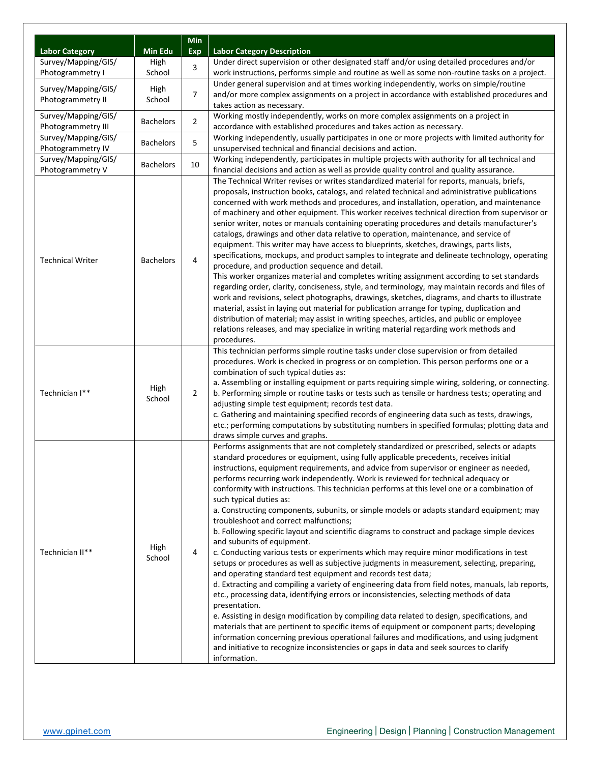|                                         |                             | <b>Min</b>     |                                                                                                                                                                                              |  |  |  |  |
|-----------------------------------------|-----------------------------|----------------|----------------------------------------------------------------------------------------------------------------------------------------------------------------------------------------------|--|--|--|--|
| <b>Labor Category</b>                   | <b>Min Edu</b>              | <b>Exp</b>     | <b>Labor Category Description</b>                                                                                                                                                            |  |  |  |  |
| Survey/Mapping/GIS/<br>Photogrammetry I | High<br>School              | 3              | Under direct supervision or other designated staff and/or using detailed procedures and/or<br>work instructions, performs simple and routine as well as some non-routine tasks on a project. |  |  |  |  |
|                                         |                             |                | Under general supervision and at times working independently, works on simple/routine                                                                                                        |  |  |  |  |
| Survey/Mapping/GIS/                     | High                        | 7              | and/or more complex assignments on a project in accordance with established procedures and                                                                                                   |  |  |  |  |
|                                         | Photogrammetry II<br>School |                | takes action as necessary.                                                                                                                                                                   |  |  |  |  |
| Survey/Mapping/GIS/                     |                             | $\overline{2}$ | Working mostly independently, works on more complex assignments on a project in                                                                                                              |  |  |  |  |
| Photogrammetry III                      | <b>Bachelors</b>            |                | accordance with established procedures and takes action as necessary.                                                                                                                        |  |  |  |  |
| Survey/Mapping/GIS/                     | <b>Bachelors</b>            | 5              | Working independently, usually participates in one or more projects with limited authority for                                                                                               |  |  |  |  |
| Photogrammetry IV                       |                             |                | unsupervised technical and financial decisions and action.                                                                                                                                   |  |  |  |  |
| Survey/Mapping/GIS/                     | <b>Bachelors</b>            | 10             | Working independently, participates in multiple projects with authority for all technical and                                                                                                |  |  |  |  |
| Photogrammetry V                        |                             |                | financial decisions and action as well as provide quality control and quality assurance.                                                                                                     |  |  |  |  |
|                                         |                             |                | The Technical Writer revises or writes standardized material for reports, manuals, briefs,<br>proposals, instruction books, catalogs, and related technical and administrative publications  |  |  |  |  |
|                                         |                             |                | concerned with work methods and procedures, and installation, operation, and maintenance                                                                                                     |  |  |  |  |
|                                         |                             |                | of machinery and other equipment. This worker receives technical direction from supervisor or                                                                                                |  |  |  |  |
|                                         |                             |                | senior writer, notes or manuals containing operating procedures and details manufacturer's                                                                                                   |  |  |  |  |
|                                         |                             |                | catalogs, drawings and other data relative to operation, maintenance, and service of                                                                                                         |  |  |  |  |
|                                         |                             |                | equipment. This writer may have access to blueprints, sketches, drawings, parts lists,                                                                                                       |  |  |  |  |
|                                         |                             |                | specifications, mockups, and product samples to integrate and delineate technology, operating                                                                                                |  |  |  |  |
| <b>Technical Writer</b>                 | <b>Bachelors</b>            | 4              | procedure, and production sequence and detail.                                                                                                                                               |  |  |  |  |
|                                         |                             |                | This worker organizes material and completes writing assignment according to set standards                                                                                                   |  |  |  |  |
|                                         |                             |                | regarding order, clarity, conciseness, style, and terminology, may maintain records and files of                                                                                             |  |  |  |  |
|                                         |                             |                | work and revisions, select photographs, drawings, sketches, diagrams, and charts to illustrate                                                                                               |  |  |  |  |
|                                         |                             |                | material, assist in laying out material for publication arrange for typing, duplication and                                                                                                  |  |  |  |  |
|                                         |                             |                | distribution of material; may assist in writing speeches, articles, and public or employee                                                                                                   |  |  |  |  |
|                                         |                             |                | relations releases, and may specialize in writing material regarding work methods and                                                                                                        |  |  |  |  |
|                                         |                             |                | procedures.                                                                                                                                                                                  |  |  |  |  |
|                                         |                             |                | This technician performs simple routine tasks under close supervision or from detailed                                                                                                       |  |  |  |  |
|                                         |                             |                | procedures. Work is checked in progress or on completion. This person performs one or a                                                                                                      |  |  |  |  |
|                                         |                             |                | combination of such typical duties as:                                                                                                                                                       |  |  |  |  |
| Technician I**                          | High                        | $\overline{2}$ | a. Assembling or installing equipment or parts requiring simple wiring, soldering, or connecting.                                                                                            |  |  |  |  |
|                                         | School                      |                | b. Performing simple or routine tasks or tests such as tensile or hardness tests; operating and<br>adjusting simple test equipment; records test data.                                       |  |  |  |  |
|                                         |                             |                | c. Gathering and maintaining specified records of engineering data such as tests, drawings,                                                                                                  |  |  |  |  |
|                                         |                             |                | etc.; performing computations by substituting numbers in specified formulas; plotting data and                                                                                               |  |  |  |  |
|                                         |                             |                | draws simple curves and graphs.                                                                                                                                                              |  |  |  |  |
|                                         |                             |                | Performs assignments that are not completely standardized or prescribed, selects or adapts                                                                                                   |  |  |  |  |
|                                         |                             |                | standard procedures or equipment, using fully applicable precedents, receives initial                                                                                                        |  |  |  |  |
|                                         |                             |                | instructions, equipment requirements, and advice from supervisor or engineer as needed,                                                                                                      |  |  |  |  |
|                                         |                             |                | performs recurring work independently. Work is reviewed for technical adequacy or                                                                                                            |  |  |  |  |
|                                         |                             |                | conformity with instructions. This technician performs at this level one or a combination of                                                                                                 |  |  |  |  |
|                                         |                             |                | such typical duties as:                                                                                                                                                                      |  |  |  |  |
|                                         |                             |                | a. Constructing components, subunits, or simple models or adapts standard equipment; may                                                                                                     |  |  |  |  |
|                                         |                             |                | troubleshoot and correct malfunctions;                                                                                                                                                       |  |  |  |  |
|                                         |                             |                | b. Following specific layout and scientific diagrams to construct and package simple devices                                                                                                 |  |  |  |  |
|                                         | High                        |                | and subunits of equipment.                                                                                                                                                                   |  |  |  |  |
| Technician II**                         | School                      | 4              | c. Conducting various tests or experiments which may require minor modifications in test                                                                                                     |  |  |  |  |
|                                         |                             |                | setups or procedures as well as subjective judgments in measurement, selecting, preparing,                                                                                                   |  |  |  |  |
|                                         |                             |                | and operating standard test equipment and records test data;                                                                                                                                 |  |  |  |  |
|                                         |                             |                | d. Extracting and compiling a variety of engineering data from field notes, manuals, lab reports,                                                                                            |  |  |  |  |
|                                         |                             |                | etc., processing data, identifying errors or inconsistencies, selecting methods of data<br>presentation.                                                                                     |  |  |  |  |
|                                         |                             |                | e. Assisting in design modification by compiling data related to design, specifications, and                                                                                                 |  |  |  |  |
|                                         |                             |                | materials that are pertinent to specific items of equipment or component parts; developing                                                                                                   |  |  |  |  |
|                                         |                             |                | information concerning previous operational failures and modifications, and using judgment                                                                                                   |  |  |  |  |
|                                         |                             |                | and initiative to recognize inconsistencies or gaps in data and seek sources to clarify                                                                                                      |  |  |  |  |
|                                         |                             |                | information.                                                                                                                                                                                 |  |  |  |  |
|                                         |                             |                |                                                                                                                                                                                              |  |  |  |  |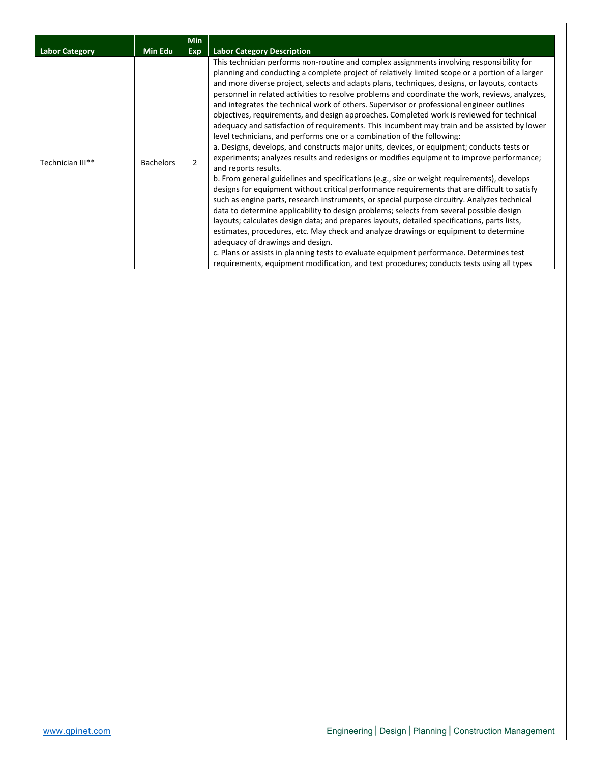| <b>Labor Category</b> | <b>Min Edu</b>   | <b>Min</b><br>Exp | <b>Labor Category Description</b>                                                                                                                                                                                                                                                                                                                                                                                                                                                                                                                                                                                                                                                                                                                                                                                                                                                                                                                                                                                                                                                                                                                                                                                                                                                                                                                                                                                                                                                                                                                                                                                                                                                                                                                                                                        |
|-----------------------|------------------|-------------------|----------------------------------------------------------------------------------------------------------------------------------------------------------------------------------------------------------------------------------------------------------------------------------------------------------------------------------------------------------------------------------------------------------------------------------------------------------------------------------------------------------------------------------------------------------------------------------------------------------------------------------------------------------------------------------------------------------------------------------------------------------------------------------------------------------------------------------------------------------------------------------------------------------------------------------------------------------------------------------------------------------------------------------------------------------------------------------------------------------------------------------------------------------------------------------------------------------------------------------------------------------------------------------------------------------------------------------------------------------------------------------------------------------------------------------------------------------------------------------------------------------------------------------------------------------------------------------------------------------------------------------------------------------------------------------------------------------------------------------------------------------------------------------------------------------|
| Technician III**      | <b>Bachelors</b> | $\mathcal{P}$     | This technician performs non-routine and complex assignments involving responsibility for<br>planning and conducting a complete project of relatively limited scope or a portion of a larger<br>and more diverse project, selects and adapts plans, techniques, designs, or layouts, contacts<br>personnel in related activities to resolve problems and coordinate the work, reviews, analyzes,<br>and integrates the technical work of others. Supervisor or professional engineer outlines<br>objectives, requirements, and design approaches. Completed work is reviewed for technical<br>adequacy and satisfaction of requirements. This incumbent may train and be assisted by lower<br>level technicians, and performs one or a combination of the following:<br>a. Designs, develops, and constructs major units, devices, or equipment; conducts tests or<br>experiments; analyzes results and redesigns or modifies equipment to improve performance;<br>and reports results.<br>b. From general guidelines and specifications (e.g., size or weight requirements), develops<br>designs for equipment without critical performance requirements that are difficult to satisfy<br>such as engine parts, research instruments, or special purpose circuitry. Analyzes technical<br>data to determine applicability to design problems; selects from several possible design<br>layouts; calculates design data; and prepares layouts, detailed specifications, parts lists,<br>estimates, procedures, etc. May check and analyze drawings or equipment to determine<br>adequacy of drawings and design.<br>c. Plans or assists in planning tests to evaluate equipment performance. Determines test<br>requirements, equipment modification, and test procedures; conducts tests using all types |